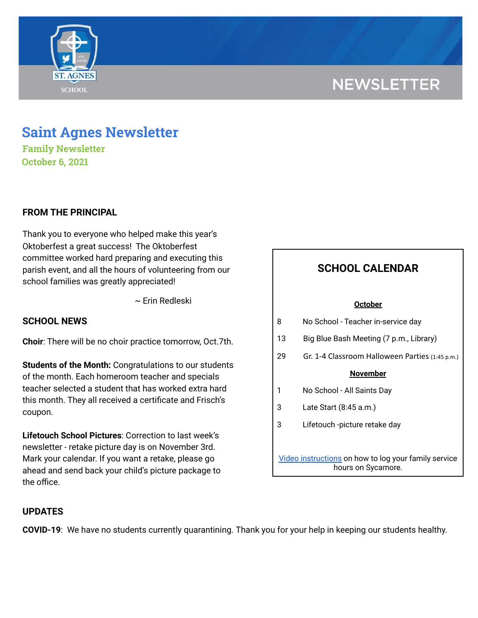# **NEWSLETTER**



**Family Newsletter October 6, 2021**

# **FROM THE PRINCIPAL**

Thank you to everyone who helped make this year's Oktoberfest a great success! The Oktoberfest committee worked hard preparing and executing this parish event, and all the hours of volunteering from our school families was greatly appreciated!

~ Erin Redleski

### **SCHOOL NEWS**

**Choir**: There will be no choir practice tomorrow, Oct.7th.

**Students of the Month:** Congratulations to our students of the month. Each homeroom teacher and specials teacher selected a student that has worked extra hard this month. They all received a certificate and Frisch's coupon.

**Lifetouch School Pictures**: Correction to last week's newsletter - retake picture day is on November 3rd. Mark your calendar. If you want a retake, please go ahead and send back your child's picture package to the office.

# **SCHOOL CALENDAR**

#### **October**

- 8 No School Teacher in-service day
- 13 Big Blue Bash Meeting (7 p.m., Library)
- 29 Gr. 1-4 Classroom Halloween Parties (1:45 p.m.)

#### **November**

- 1 No School All Saints Day
- 3 Late Start (8:45 a.m.)
- 3 Lifetouch -picture retake day

Video [instructions](https://drive.google.com/file/d/1cmYj9N-NF2btSiiG8QdTD20q2RJRpwk7/view?usp=sharing) on how to log your family service hours on Sycamore.

## **UPDATES**

**COVID-19**: We have no students currently quarantining. Thank you for your help in keeping our students healthy.